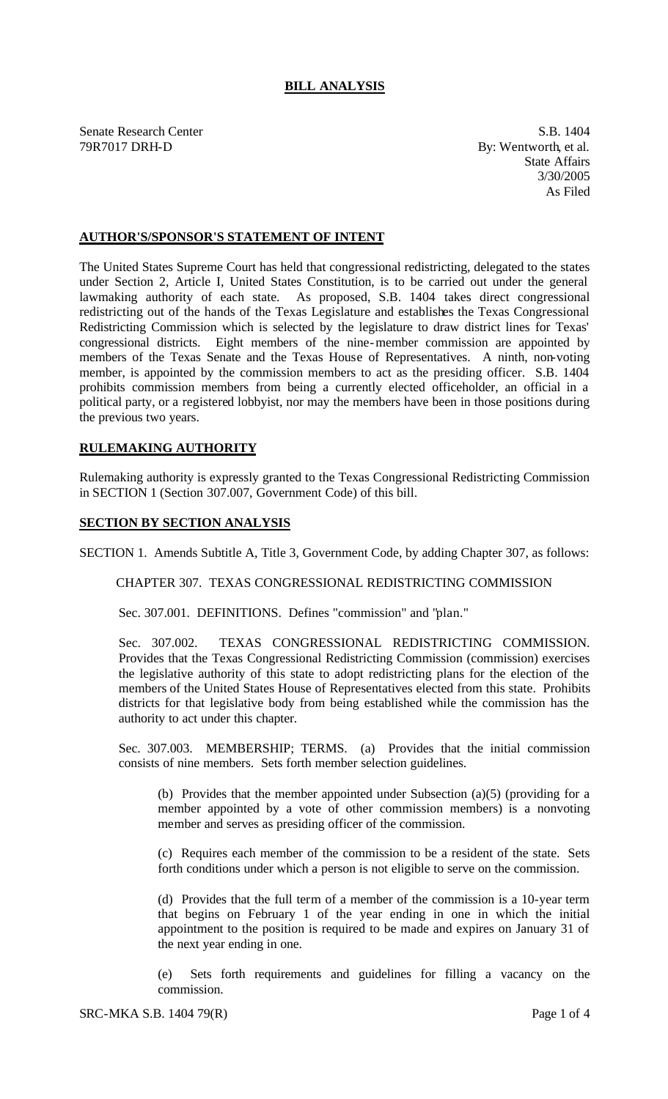## **BILL ANALYSIS**

Senate Research Center S.B. 1404 79R7017 DRH-D By: Wentworth, et al.

State Affairs 3/30/2005 As Filed

## **AUTHOR'S/SPONSOR'S STATEMENT OF INTENT**

The United States Supreme Court has held that congressional redistricting, delegated to the states under Section 2, Article I, United States Constitution, is to be carried out under the general lawmaking authority of each state. As proposed, S.B. 1404 takes direct congressional redistricting out of the hands of the Texas Legislature and establishes the Texas Congressional Redistricting Commission which is selected by the legislature to draw district lines for Texas' congressional districts. Eight members of the nine-member commission are appointed by members of the Texas Senate and the Texas House of Representatives. A ninth, non-voting member, is appointed by the commission members to act as the presiding officer. S.B. 1404 prohibits commission members from being a currently elected officeholder, an official in a political party, or a registered lobbyist, nor may the members have been in those positions during the previous two years.

## **RULEMAKING AUTHORITY**

Rulemaking authority is expressly granted to the Texas Congressional Redistricting Commission in SECTION 1 (Section 307.007, Government Code) of this bill.

## **SECTION BY SECTION ANALYSIS**

SECTION 1. Amends Subtitle A, Title 3, Government Code, by adding Chapter 307, as follows:

CHAPTER 307. TEXAS CONGRESSIONAL REDISTRICTING COMMISSION

Sec. 307.001. DEFINITIONS. Defines "commission" and "plan."

Sec. 307.002. TEXAS CONGRESSIONAL REDISTRICTING COMMISSION. Provides that the Texas Congressional Redistricting Commission (commission) exercises the legislative authority of this state to adopt redistricting plans for the election of the members of the United States House of Representatives elected from this state. Prohibits districts for that legislative body from being established while the commission has the authority to act under this chapter.

Sec. 307.003. MEMBERSHIP; TERMS. (a) Provides that the initial commission consists of nine members. Sets forth member selection guidelines.

(b) Provides that the member appointed under Subsection (a)(5) (providing for a member appointed by a vote of other commission members) is a nonvoting member and serves as presiding officer of the commission.

(c) Requires each member of the commission to be a resident of the state. Sets forth conditions under which a person is not eligible to serve on the commission.

(d) Provides that the full term of a member of the commission is a 10-year term that begins on February 1 of the year ending in one in which the initial appointment to the position is required to be made and expires on January 31 of the next year ending in one.

(e) Sets forth requirements and guidelines for filling a vacancy on the commission.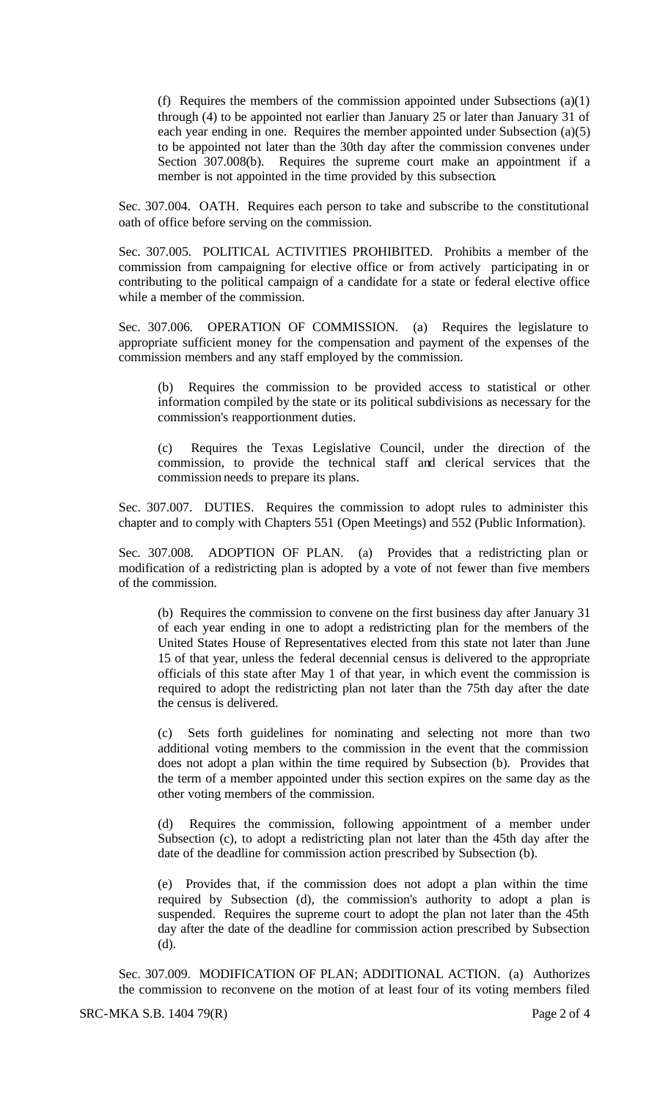(f) Requires the members of the commission appointed under Subsections (a)(1) through (4) to be appointed not earlier than January 25 or later than January 31 of each year ending in one. Requires the member appointed under Subsection (a)(5) to be appointed not later than the 30th day after the commission convenes under Section 307.008(b). Requires the supreme court make an appointment if a member is not appointed in the time provided by this subsection.

Sec. 307.004. OATH. Requires each person to take and subscribe to the constitutional oath of office before serving on the commission.

Sec. 307.005. POLITICAL ACTIVITIES PROHIBITED. Prohibits a member of the commission from campaigning for elective office or from actively participating in or contributing to the political campaign of a candidate for a state or federal elective office while a member of the commission.

Sec. 307.006. OPERATION OF COMMISSION. (a) Requires the legislature to appropriate sufficient money for the compensation and payment of the expenses of the commission members and any staff employed by the commission.

(b) Requires the commission to be provided access to statistical or other information compiled by the state or its political subdivisions as necessary for the commission's reapportionment duties.

(c) Requires the Texas Legislative Council, under the direction of the commission, to provide the technical staff and clerical services that the commission needs to prepare its plans.

Sec. 307.007. DUTIES. Requires the commission to adopt rules to administer this chapter and to comply with Chapters 551 (Open Meetings) and 552 (Public Information).

Sec. 307.008. ADOPTION OF PLAN. (a) Provides that a redistricting plan or modification of a redistricting plan is adopted by a vote of not fewer than five members of the commission.

(b) Requires the commission to convene on the first business day after January 31 of each year ending in one to adopt a redistricting plan for the members of the United States House of Representatives elected from this state not later than June 15 of that year, unless the federal decennial census is delivered to the appropriate officials of this state after May 1 of that year, in which event the commission is required to adopt the redistricting plan not later than the 75th day after the date the census is delivered.

(c) Sets forth guidelines for nominating and selecting not more than two additional voting members to the commission in the event that the commission does not adopt a plan within the time required by Subsection (b). Provides that the term of a member appointed under this section expires on the same day as the other voting members of the commission.

(d) Requires the commission, following appointment of a member under Subsection (c), to adopt a redistricting plan not later than the 45th day after the date of the deadline for commission action prescribed by Subsection (b).

(e) Provides that, if the commission does not adopt a plan within the time required by Subsection (d), the commission's authority to adopt a plan is suspended. Requires the supreme court to adopt the plan not later than the 45th day after the date of the deadline for commission action prescribed by Subsection (d).

Sec. 307.009. MODIFICATION OF PLAN; ADDITIONAL ACTION. (a) Authorizes the commission to reconvene on the motion of at least four of its voting members filed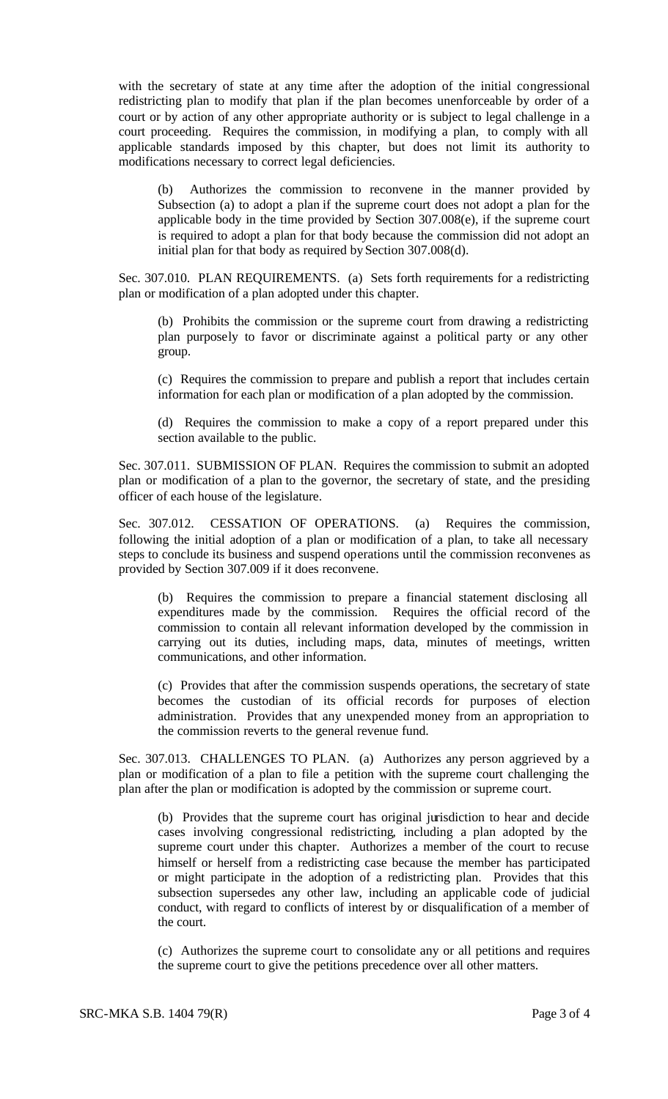with the secretary of state at any time after the adoption of the initial congressional redistricting plan to modify that plan if the plan becomes unenforceable by order of a court or by action of any other appropriate authority or is subject to legal challenge in a court proceeding. Requires the commission, in modifying a plan, to comply with all applicable standards imposed by this chapter, but does not limit its authority to modifications necessary to correct legal deficiencies.

(b) Authorizes the commission to reconvene in the manner provided by Subsection (a) to adopt a plan if the supreme court does not adopt a plan for the applicable body in the time provided by Section 307.008(e), if the supreme court is required to adopt a plan for that body because the commission did not adopt an initial plan for that body as required by Section 307.008(d).

Sec. 307.010. PLAN REQUIREMENTS. (a) Sets forth requirements for a redistricting plan or modification of a plan adopted under this chapter.

(b) Prohibits the commission or the supreme court from drawing a redistricting plan purposely to favor or discriminate against a political party or any other group.

(c) Requires the commission to prepare and publish a report that includes certain information for each plan or modification of a plan adopted by the commission.

(d) Requires the commission to make a copy of a report prepared under this section available to the public.

Sec. 307.011. SUBMISSION OF PLAN. Requires the commission to submit an adopted plan or modification of a plan to the governor, the secretary of state, and the presiding officer of each house of the legislature.

Sec. 307.012. CESSATION OF OPERATIONS. (a) Requires the commission, following the initial adoption of a plan or modification of a plan, to take all necessary steps to conclude its business and suspend operations until the commission reconvenes as provided by Section 307.009 if it does reconvene.

(b) Requires the commission to prepare a financial statement disclosing all expenditures made by the commission. Requires the official record of the commission to contain all relevant information developed by the commission in carrying out its duties, including maps, data, minutes of meetings, written communications, and other information.

(c) Provides that after the commission suspends operations, the secretary of state becomes the custodian of its official records for purposes of election administration. Provides that any unexpended money from an appropriation to the commission reverts to the general revenue fund.

Sec. 307.013. CHALLENGES TO PLAN. (a) Authorizes any person aggrieved by a plan or modification of a plan to file a petition with the supreme court challenging the plan after the plan or modification is adopted by the commission or supreme court.

(b) Provides that the supreme court has original jurisdiction to hear and decide cases involving congressional redistricting, including a plan adopted by the supreme court under this chapter. Authorizes a member of the court to recuse himself or herself from a redistricting case because the member has participated or might participate in the adoption of a redistricting plan. Provides that this subsection supersedes any other law, including an applicable code of judicial conduct, with regard to conflicts of interest by or disqualification of a member of the court.

(c) Authorizes the supreme court to consolidate any or all petitions and requires the supreme court to give the petitions precedence over all other matters.